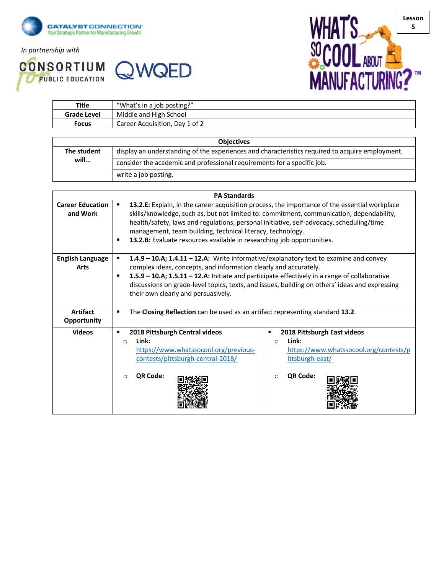

*In partnership with*

**CONSORTIUM QWQED** 



| Title              | "What's in a job posting?"     |  |
|--------------------|--------------------------------|--|
| <b>Grade Level</b> | Middle and High School         |  |
| Focus              | Career Acquisition, Day 1 of 2 |  |
|                    |                                |  |

| <b>Objectives</b> |                                                                                                 |  |  |
|-------------------|-------------------------------------------------------------------------------------------------|--|--|
| The student       | display an understanding of the experiences and characteristics required to acquire employment. |  |  |
| will              | consider the academic and professional requirements for a specific job.                         |  |  |
|                   | write a job posting.                                                                            |  |  |

|                                       | <b>PA Standards</b>                                                                                                                                                                                                                                                                                                                                                                                                                |  |  |  |  |
|---------------------------------------|------------------------------------------------------------------------------------------------------------------------------------------------------------------------------------------------------------------------------------------------------------------------------------------------------------------------------------------------------------------------------------------------------------------------------------|--|--|--|--|
| <b>Career Education</b><br>and Work   | 13.2.E: Explain, in the career acquisition process, the importance of the essential workplace<br>skills/knowledge, such as, but not limited to: commitment, communication, dependability,<br>health/safety, laws and regulations, personal initiative, self-advocacy, scheduling/time<br>management, team building, technical literacy, technology.<br>13.2.B: Evaluate resources available in researching job opportunities.<br>٠ |  |  |  |  |
| <b>English Language</b><br>Arts       | 1.4.9 - 10.A; 1.4.11 - 12.A: Write informative/explanatory text to examine and convey<br>complex ideas, concepts, and information clearly and accurately.<br>1.5.9 - 10.A; 1.5.11 - 12.A: Initiate and participate effectively in a range of collaborative<br>discussions on grade-level topics, texts, and issues, building on others' ideas and expressing<br>their own clearly and persuasively.                                |  |  |  |  |
| <b>Artifact</b><br><b>Opportunity</b> | The Closing Reflection can be used as an artifact representing standard 13.2.<br>$\blacksquare$                                                                                                                                                                                                                                                                                                                                    |  |  |  |  |
| <b>Videos</b>                         | 2018 Pittsburgh Central videos<br>2018 Pittsburgh East videos<br>п<br>п<br>Link:<br>Link:<br>$\circ$<br>$\bigcap$<br>https://www.whatssocool.org/previous-<br>https://www.whatssocool.org/contests/p<br>contests/pittsburgh-central-2018/<br>ittsburgh-east/<br>QR Code:<br>QR Code:<br>$\Omega$<br>$\Omega$                                                                                                                       |  |  |  |  |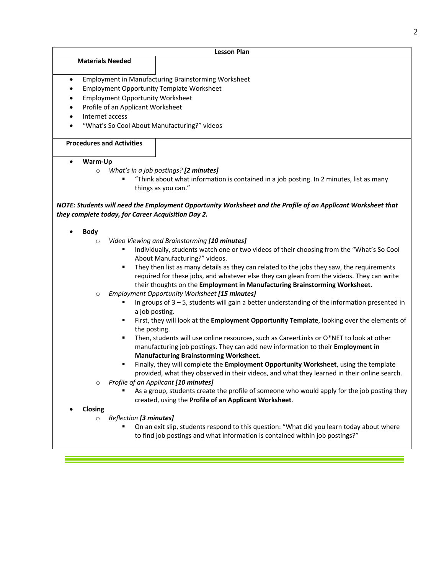|                                                      | <b>Lesson Plan</b>                                                                                           |  |  |  |  |  |
|------------------------------------------------------|--------------------------------------------------------------------------------------------------------------|--|--|--|--|--|
| <b>Materials Needed</b>                              |                                                                                                              |  |  |  |  |  |
|                                                      |                                                                                                              |  |  |  |  |  |
| $\bullet$                                            | <b>Employment in Manufacturing Brainstorming Worksheet</b>                                                   |  |  |  |  |  |
| $\bullet$                                            | <b>Employment Opportunity Template Worksheet</b>                                                             |  |  |  |  |  |
| <b>Employment Opportunity Worksheet</b><br>$\bullet$ |                                                                                                              |  |  |  |  |  |
| Profile of an Applicant Worksheet<br>$\bullet$       |                                                                                                              |  |  |  |  |  |
| Internet access<br>$\bullet$                         |                                                                                                              |  |  |  |  |  |
| ٠                                                    | "What's So Cool About Manufacturing?" videos                                                                 |  |  |  |  |  |
| <b>Procedures and Activities</b>                     |                                                                                                              |  |  |  |  |  |
|                                                      |                                                                                                              |  |  |  |  |  |
| Warm-Up<br>$\bullet$                                 |                                                                                                              |  |  |  |  |  |
| $\circ$                                              | What's in a job postings? [2 minutes]                                                                        |  |  |  |  |  |
|                                                      | "Think about what information is contained in a job posting. In 2 minutes, list as many                      |  |  |  |  |  |
|                                                      | things as you can."                                                                                          |  |  |  |  |  |
|                                                      |                                                                                                              |  |  |  |  |  |
|                                                      | NOTE: Students will need the Employment Opportunity Worksheet and the Profile of an Applicant Worksheet that |  |  |  |  |  |
| they complete today, for Career Acquisition Day 2.   |                                                                                                              |  |  |  |  |  |
| <b>Body</b>                                          |                                                                                                              |  |  |  |  |  |
| $\circ$                                              | Video Viewing and Brainstorming [10 minutes]                                                                 |  |  |  |  |  |
|                                                      | Individually, students watch one or two videos of their choosing from the "What's So Cool                    |  |  |  |  |  |
|                                                      | About Manufacturing?" videos.                                                                                |  |  |  |  |  |
|                                                      | They then list as many details as they can related to the jobs they saw, the requirements                    |  |  |  |  |  |
|                                                      | required for these jobs, and whatever else they can glean from the videos. They can write                    |  |  |  |  |  |
|                                                      | their thoughts on the Employment in Manufacturing Brainstorming Worksheet.                                   |  |  |  |  |  |
| $\circ$                                              | Employment Opportunity Worksheet [15 minutes]                                                                |  |  |  |  |  |
|                                                      | In groups of $3 - 5$ , students will gain a better understanding of the information presented in             |  |  |  |  |  |
|                                                      | a job posting.                                                                                               |  |  |  |  |  |
|                                                      | First, they will look at the Employment Opportunity Template, looking over the elements of                   |  |  |  |  |  |
| ٠                                                    | the posting.<br>Then, students will use online resources, such as CareerLinks or O*NET to look at other      |  |  |  |  |  |
|                                                      | manufacturing job postings. They can add new information to their Employment in                              |  |  |  |  |  |
|                                                      | <b>Manufacturing Brainstorming Worksheet.</b>                                                                |  |  |  |  |  |
| ٠                                                    | Finally, they will complete the Employment Opportunity Worksheet, using the template                         |  |  |  |  |  |
|                                                      | provided, what they observed in their videos, and what they learned in their online search.                  |  |  |  |  |  |
| $\circ$                                              | Profile of an Applicant [10 minutes]                                                                         |  |  |  |  |  |
|                                                      | As a group, students create the profile of someone who would apply for the job posting they                  |  |  |  |  |  |
|                                                      | created, using the Profile of an Applicant Worksheet.                                                        |  |  |  |  |  |
| Closing                                              |                                                                                                              |  |  |  |  |  |
| Reflection [3 minutes]<br>$\circ$                    |                                                                                                              |  |  |  |  |  |
|                                                      | On an exit slip, students respond to this question: "What did you learn today about where                    |  |  |  |  |  |
|                                                      | to find job postings and what information is contained within job postings?"                                 |  |  |  |  |  |
|                                                      |                                                                                                              |  |  |  |  |  |

<u> 1989 - Johann Barnett, fransk politik (</u>

er<br>Start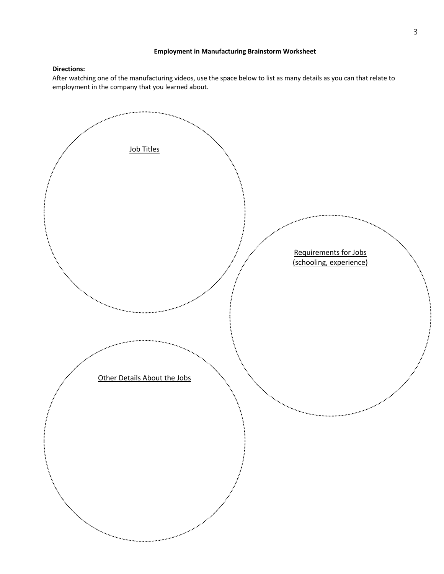## **Employment in Manufacturing Brainstorm Worksheet**

# **Directions:**

After watching one of the manufacturing videos, use the space below to list as many details as you can that relate to employment in the company that you learned about.

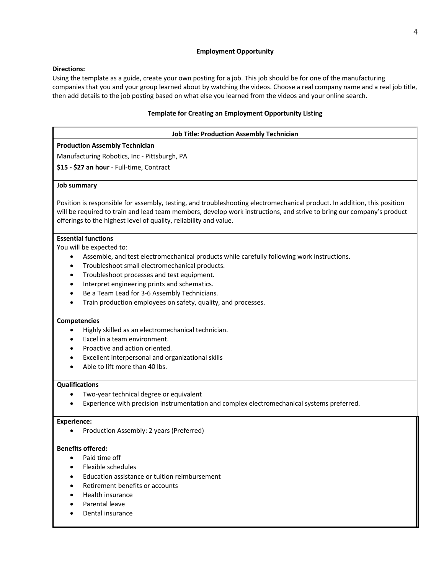## **Employment Opportunity**

## **Directions:**

Using the template as a guide, create your own posting for a job. This job should be for one of the manufacturing companies that you and your group learned about by watching the videos. Choose a real company name and a real job title, then add details to the job posting based on what else you learned from the videos and your online search.

## **Template for Creating an Employment Opportunity Listing**

# **Job Title: Production Assembly Technician**

# **Production Assembly Technician**

Manufacturing Robotics, Inc - Pittsburgh, PA

**\$15 - \$27 an hour** - Full-time, Contract

#### **Job summary**

Position is responsible for assembly, testing, and troubleshooting electromechanical product. In addition, this position will be required to train and lead team members, develop work instructions, and strive to bring our company's product offerings to the highest level of quality, reliability and value.

## **Essential functions**

You will be expected to:

- Assemble, and test electromechanical products while carefully following work instructions.
- Troubleshoot small electromechanical products.
- Troubleshoot processes and test equipment.
- Interpret engineering prints and schematics.
- Be a Team Lead for 3-6 Assembly Technicians.
- Train production employees on safety, quality, and processes.

#### **Competencies**

- Highly skilled as an electromechanical technician.
- Excel in a team environment.
- Proactive and action oriented.
- Excellent interpersonal and organizational skills
- Able to lift more than 40 lbs.

#### **Qualifications**

- Two-year technical degree or equivalent
- Experience with precision instrumentation and complex electromechanical systems preferred.

#### **Experience:**

• Production Assembly: 2 years (Preferred)

# **Benefits offered:**

- Paid time off
- Flexible schedules
- Education assistance or tuition reimbursement
- Retirement benefits or accounts
- Health insurance
- Parental leave
- Dental insurance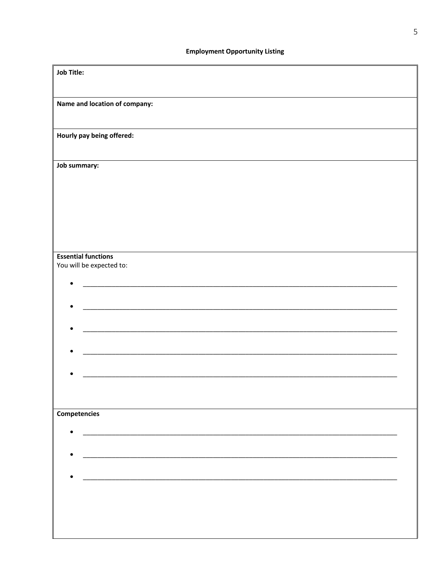| <b>Job Title:</b> |                               |  |
|-------------------|-------------------------------|--|
|                   | Name and location of company: |  |
|                   |                               |  |
|                   | Hourly pay being offered:     |  |
| Job summary:      |                               |  |
|                   |                               |  |
|                   |                               |  |
|                   |                               |  |
|                   |                               |  |
|                   | <b>Essential functions</b>    |  |
|                   | You will be expected to:      |  |
|                   |                               |  |
|                   |                               |  |
|                   |                               |  |
|                   |                               |  |
|                   |                               |  |
|                   |                               |  |
|                   |                               |  |
| Competencies      |                               |  |
|                   |                               |  |
|                   |                               |  |
|                   |                               |  |
| $\bullet$         |                               |  |
|                   |                               |  |
|                   |                               |  |
|                   |                               |  |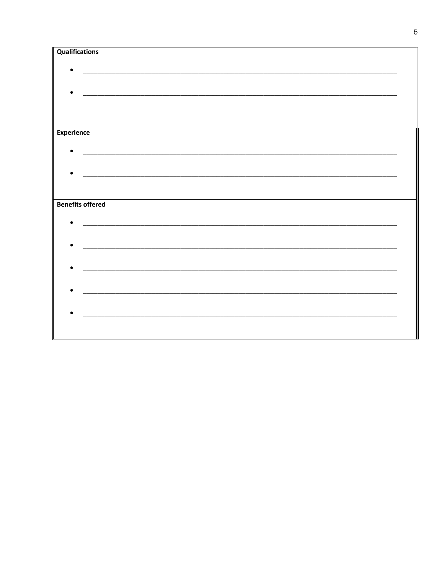| <b>Qualifications</b> |                                                                                                                       |  |
|-----------------------|-----------------------------------------------------------------------------------------------------------------------|--|
|                       |                                                                                                                       |  |
|                       |                                                                                                                       |  |
|                       | <u> 1989 - John Stone, Amerikaansk politiker († 1908)</u>                                                             |  |
|                       |                                                                                                                       |  |
|                       |                                                                                                                       |  |
| <b>Experience</b>     |                                                                                                                       |  |
|                       |                                                                                                                       |  |
|                       |                                                                                                                       |  |
|                       |                                                                                                                       |  |
|                       |                                                                                                                       |  |
|                       |                                                                                                                       |  |
|                       | <b>Benefits offered</b>                                                                                               |  |
|                       |                                                                                                                       |  |
|                       |                                                                                                                       |  |
|                       | <u> 1980 - Johann Johann Stoff, deutscher Stoffen und der Stoffen und der Stoffen und der Stoffen und der Stoffen</u> |  |
|                       |                                                                                                                       |  |
|                       |                                                                                                                       |  |
|                       |                                                                                                                       |  |
|                       | <u> 2000 - Januar Alexander, president eta aldean erroman erroman erroman ez erroman ez ez ez ez erroman ez ez e</u>  |  |
|                       |                                                                                                                       |  |
|                       |                                                                                                                       |  |
|                       |                                                                                                                       |  |
|                       |                                                                                                                       |  |